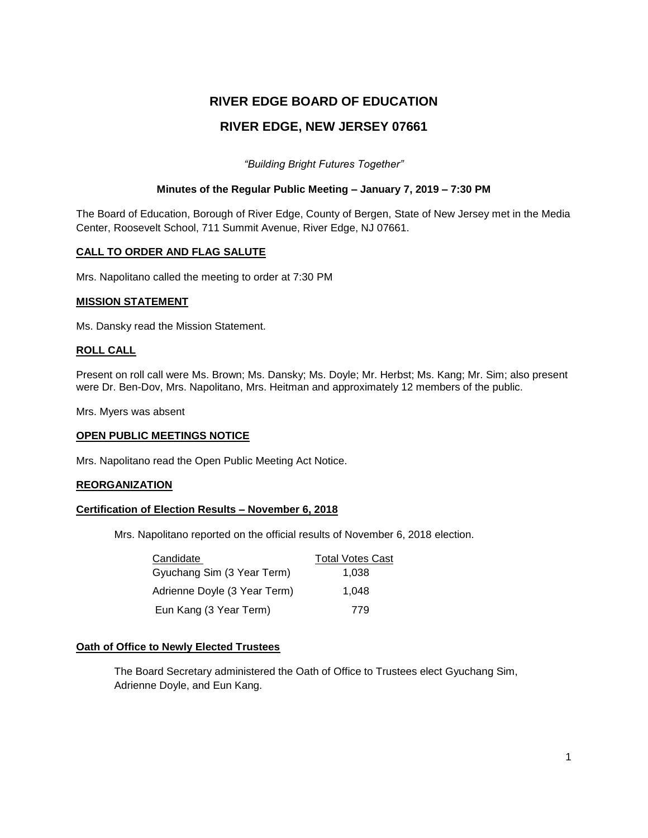# **RIVER EDGE BOARD OF EDUCATION RIVER EDGE, NEW JERSEY 07661**

*"Building Bright Futures Together"*

### **Minutes of the Regular Public Meeting – January 7, 2019 – 7:30 PM**

The Board of Education, Borough of River Edge, County of Bergen, State of New Jersey met in the Media Center, Roosevelt School, 711 Summit Avenue, River Edge, NJ 07661.

### **CALL TO ORDER AND FLAG SALUTE**

Mrs. Napolitano called the meeting to order at 7:30 PM

### **MISSION STATEMENT**

Ms. Dansky read the Mission Statement.

### **ROLL CALL**

Present on roll call were Ms. Brown; Ms. Dansky; Ms. Doyle; Mr. Herbst; Ms. Kang; Mr. Sim; also present were Dr. Ben-Dov, Mrs. Napolitano, Mrs. Heitman and approximately 12 members of the public.

Mrs. Myers was absent

# **OPEN PUBLIC MEETINGS NOTICE**

Mrs. Napolitano read the Open Public Meeting Act Notice.

### **REORGANIZATION**

### **Certification of Election Results – November 6, 2018**

Mrs. Napolitano reported on the official results of November 6, 2018 election.

| Candidate                    | <b>Total Votes Cast</b> |
|------------------------------|-------------------------|
| Gyuchang Sim (3 Year Term)   | 1.038                   |
| Adrienne Doyle (3 Year Term) | 1.048                   |
| Eun Kang (3 Year Term)       | 779                     |

### **Oath of Office to Newly Elected Trustees**

The Board Secretary administered the Oath of Office to Trustees elect Gyuchang Sim, Adrienne Doyle, and Eun Kang.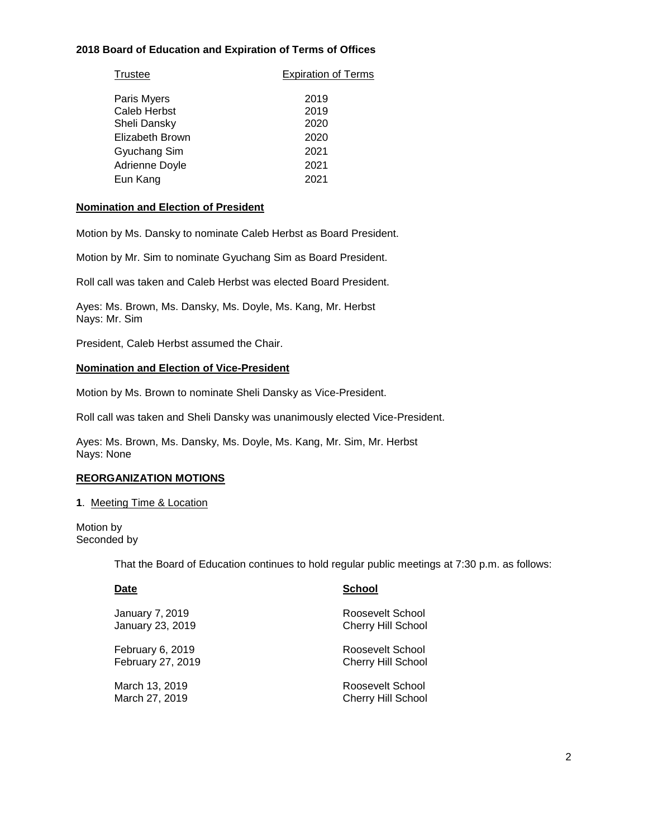## **2018 Board of Education and Expiration of Terms of Offices**

| Trustee             | <b>Expiration of Terms</b> |  |
|---------------------|----------------------------|--|
| Paris Myers         | 2019                       |  |
| <b>Caleb Herbst</b> | 2019                       |  |
| Sheli Dansky        | 2020                       |  |
| Elizabeth Brown     | 2020                       |  |
| Gyuchang Sim        | 2021                       |  |
| Adrienne Doyle      | 2021                       |  |
| Eun Kang            | 2021                       |  |
|                     |                            |  |

### **Nomination and Election of President**

Motion by Ms. Dansky to nominate Caleb Herbst as Board President.

Motion by Mr. Sim to nominate Gyuchang Sim as Board President.

Roll call was taken and Caleb Herbst was elected Board President.

Ayes: Ms. Brown, Ms. Dansky, Ms. Doyle, Ms. Kang, Mr. Herbst Nays: Mr. Sim

President, Caleb Herbst assumed the Chair.

#### **Nomination and Election of Vice-President**

Motion by Ms. Brown to nominate Sheli Dansky as Vice-President.

Roll call was taken and Sheli Dansky was unanimously elected Vice-President.

Ayes: Ms. Brown, Ms. Dansky, Ms. Doyle, Ms. Kang, Mr. Sim, Mr. Herbst Nays: None

### **REORGANIZATION MOTIONS**

#### **1**. Meeting Time & Location

Motion by Seconded by

That the Board of Education continues to hold regular public meetings at 7:30 p.m. as follows:

| Date                   | <b>School</b>             |
|------------------------|---------------------------|
| <b>January 7, 2019</b> | Roosevelt School          |
| January 23, 2019       | <b>Cherry Hill School</b> |
| February 6, 2019       | Roosevelt School          |
| February 27, 2019      | <b>Cherry Hill School</b> |
| March 13, 2019         | Roosevelt School          |
| March 27, 2019         | <b>Cherry Hill School</b> |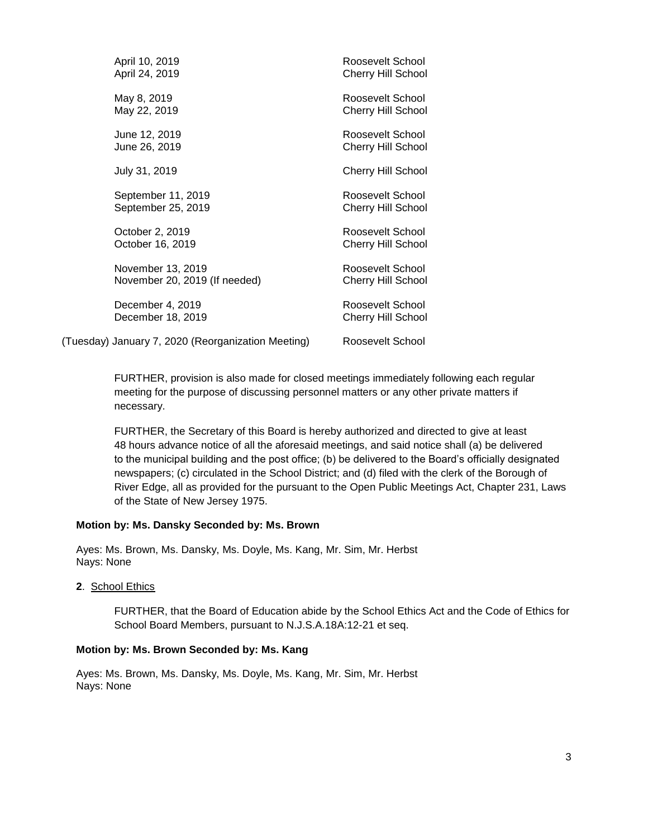| April 10, 2019                                     | Roosevelt School          |
|----------------------------------------------------|---------------------------|
| April 24, 2019                                     | <b>Cherry Hill School</b> |
| May 8, 2019                                        | Roosevelt School          |
| May 22, 2019                                       | <b>Cherry Hill School</b> |
| June 12, 2019                                      | Roosevelt School          |
| June 26, 2019                                      | <b>Cherry Hill School</b> |
| July 31, 2019                                      | <b>Cherry Hill School</b> |
| September 11, 2019                                 | Roosevelt School          |
| September 25, 2019                                 | <b>Cherry Hill School</b> |
| October 2, 2019                                    | Roosevelt School          |
| October 16, 2019                                   | <b>Cherry Hill School</b> |
| November 13, 2019                                  | Roosevelt School          |
| November 20, 2019 (If needed)                      | <b>Cherry Hill School</b> |
| December 4, 2019                                   | Roosevelt School          |
| December 18, 2019                                  | <b>Cherry Hill School</b> |
| (Tuesday) January 7, 2020 (Reorganization Meeting) | Roosevelt School          |

FURTHER, provision is also made for closed meetings immediately following each regular meeting for the purpose of discussing personnel matters or any other private matters if necessary.

FURTHER, the Secretary of this Board is hereby authorized and directed to give at least 48 hours advance notice of all the aforesaid meetings, and said notice shall (a) be delivered to the municipal building and the post office; (b) be delivered to the Board's officially designated newspapers; (c) circulated in the School District; and (d) filed with the clerk of the Borough of River Edge, all as provided for the pursuant to the Open Public Meetings Act, Chapter 231, Laws of the State of New Jersey 1975.

### **Motion by: Ms. Dansky Seconded by: Ms. Brown**

Ayes: Ms. Brown, Ms. Dansky, Ms. Doyle, Ms. Kang, Mr. Sim, Mr. Herbst Nays: None

**2**. School Ethics

FURTHER, that the Board of Education abide by the School Ethics Act and the Code of Ethics for School Board Members, pursuant to N.J.S.A.18A:12-21 et seq.

#### **Motion by: Ms. Brown Seconded by: Ms. Kang**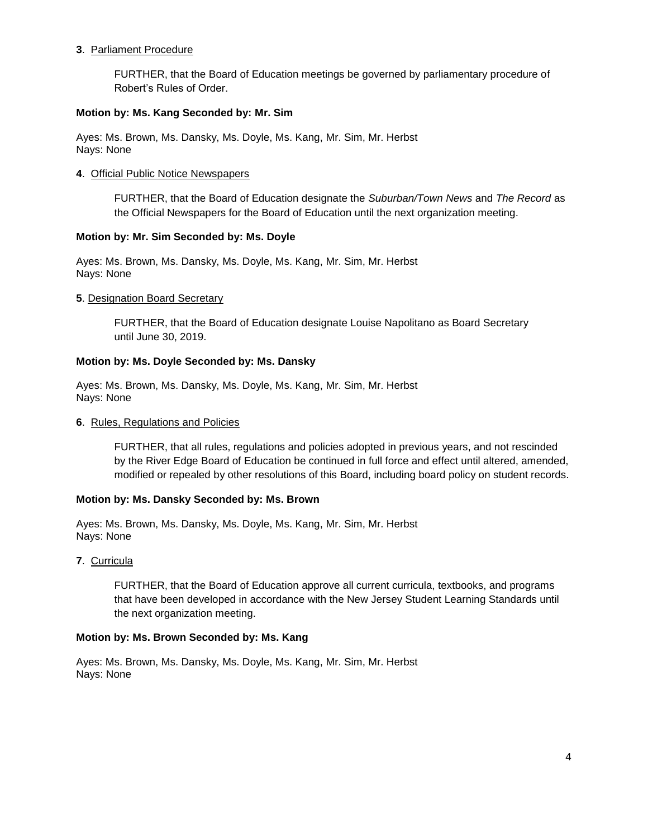### **3**. Parliament Procedure

FURTHER, that the Board of Education meetings be governed by parliamentary procedure of Robert's Rules of Order.

### **Motion by: Ms. Kang Seconded by: Mr. Sim**

Ayes: Ms. Brown, Ms. Dansky, Ms. Doyle, Ms. Kang, Mr. Sim, Mr. Herbst Nays: None

### **4**. Official Public Notice Newspapers

FURTHER, that the Board of Education designate the *Suburban/Town News* and *The Record* as the Official Newspapers for the Board of Education until the next organization meeting.

### **Motion by: Mr. Sim Seconded by: Ms. Doyle**

Ayes: Ms. Brown, Ms. Dansky, Ms. Doyle, Ms. Kang, Mr. Sim, Mr. Herbst Nays: None

### **5**. Designation Board Secretary

FURTHER, that the Board of Education designate Louise Napolitano as Board Secretary until June 30, 2019.

### **Motion by: Ms. Doyle Seconded by: Ms. Dansky**

Ayes: Ms. Brown, Ms. Dansky, Ms. Doyle, Ms. Kang, Mr. Sim, Mr. Herbst Nays: None

### **6**. Rules, Regulations and Policies

FURTHER, that all rules, regulations and policies adopted in previous years, and not rescinded by the River Edge Board of Education be continued in full force and effect until altered, amended, modified or repealed by other resolutions of this Board, including board policy on student records.

### **Motion by: Ms. Dansky Seconded by: Ms. Brown**

Ayes: Ms. Brown, Ms. Dansky, Ms. Doyle, Ms. Kang, Mr. Sim, Mr. Herbst Nays: None

### **7**. Curricula

FURTHER, that the Board of Education approve all current curricula, textbooks, and programs that have been developed in accordance with the New Jersey Student Learning Standards until the next organization meeting.

### **Motion by: Ms. Brown Seconded by: Ms. Kang**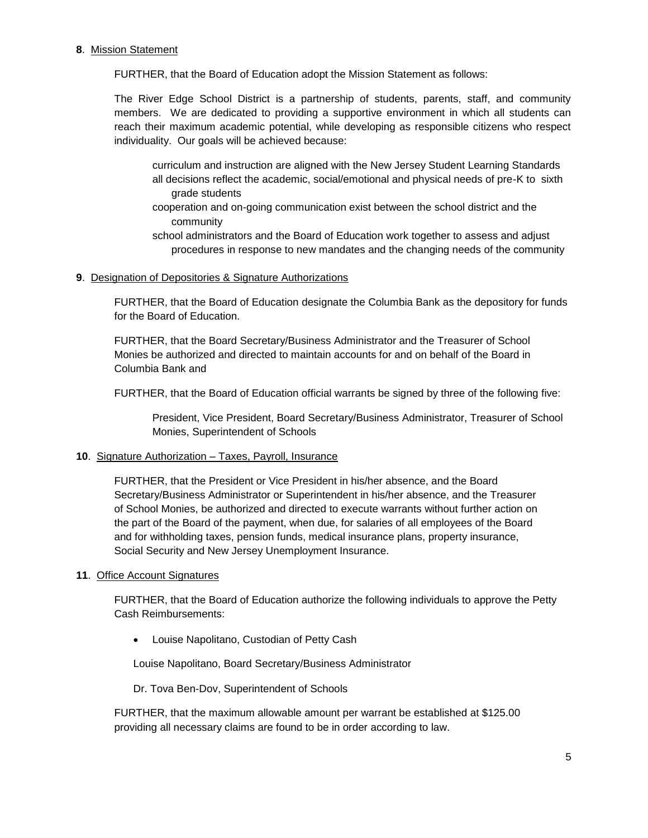### **8**. Mission Statement

FURTHER, that the Board of Education adopt the Mission Statement as follows:

The River Edge School District is a partnership of students, parents, staff, and community members. We are dedicated to providing a supportive environment in which all students can reach their maximum academic potential, while developing as responsible citizens who respect individuality. Our goals will be achieved because:

curriculum and instruction are aligned with the New Jersey Student Learning Standards all decisions reflect the academic, social/emotional and physical needs of pre-K to sixth grade students

- cooperation and on-going communication exist between the school district and the community
- school administrators and the Board of Education work together to assess and adjust procedures in response to new mandates and the changing needs of the community

### **9**. Designation of Depositories & Signature Authorizations

FURTHER, that the Board of Education designate the Columbia Bank as the depository for funds for the Board of Education.

FURTHER, that the Board Secretary/Business Administrator and the Treasurer of School Monies be authorized and directed to maintain accounts for and on behalf of the Board in Columbia Bank and

FURTHER, that the Board of Education official warrants be signed by three of the following five:

President, Vice President, Board Secretary/Business Administrator, Treasurer of School Monies, Superintendent of Schools

### **10**. Signature Authorization – Taxes, Payroll, Insurance

FURTHER, that the President or Vice President in his/her absence, and the Board Secretary/Business Administrator or Superintendent in his/her absence, and the Treasurer of School Monies, be authorized and directed to execute warrants without further action on the part of the Board of the payment, when due, for salaries of all employees of the Board and for withholding taxes, pension funds, medical insurance plans, property insurance, Social Security and New Jersey Unemployment Insurance.

### **11**. Office Account Signatures

FURTHER, that the Board of Education authorize the following individuals to approve the Petty Cash Reimbursements:

Louise Napolitano, Custodian of Petty Cash

Louise Napolitano, Board Secretary/Business Administrator

Dr. Tova Ben-Dov, Superintendent of Schools

FURTHER, that the maximum allowable amount per warrant be established at \$125.00 providing all necessary claims are found to be in order according to law.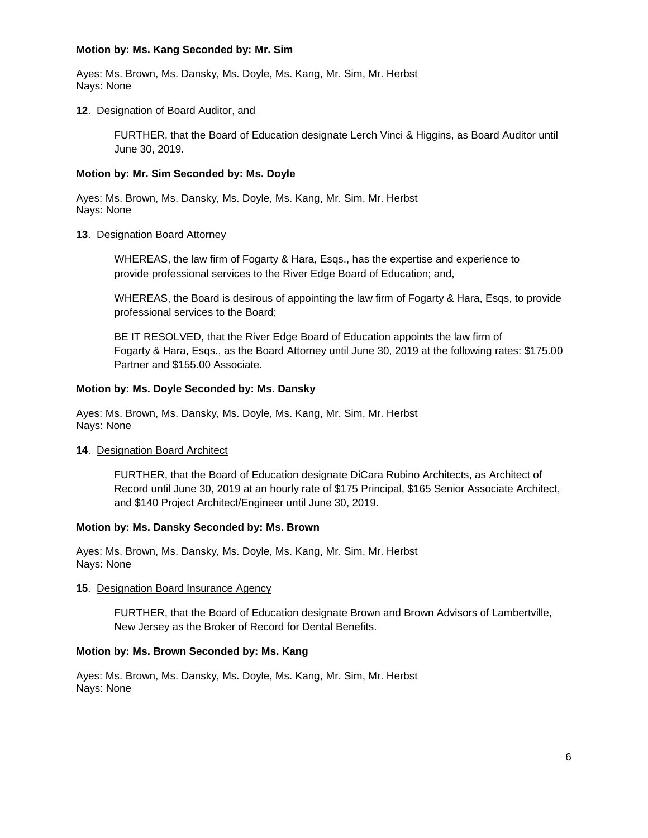### **Motion by: Ms. Kang Seconded by: Mr. Sim**

Ayes: Ms. Brown, Ms. Dansky, Ms. Doyle, Ms. Kang, Mr. Sim, Mr. Herbst Nays: None

### **12**. Designation of Board Auditor, and

FURTHER, that the Board of Education designate Lerch Vinci & Higgins, as Board Auditor until June 30, 2019.

### **Motion by: Mr. Sim Seconded by: Ms. Doyle**

Ayes: Ms. Brown, Ms. Dansky, Ms. Doyle, Ms. Kang, Mr. Sim, Mr. Herbst Nays: None

### **13**. Designation Board Attorney

WHEREAS, the law firm of Fogarty & Hara, Esqs., has the expertise and experience to provide professional services to the River Edge Board of Education; and,

WHEREAS, the Board is desirous of appointing the law firm of Fogarty & Hara, Esqs, to provide professional services to the Board;

BE IT RESOLVED, that the River Edge Board of Education appoints the law firm of Fogarty & Hara, Esqs., as the Board Attorney until June 30, 2019 at the following rates: \$175.00 Partner and \$155.00 Associate.

### **Motion by: Ms. Doyle Seconded by: Ms. Dansky**

Ayes: Ms. Brown, Ms. Dansky, Ms. Doyle, Ms. Kang, Mr. Sim, Mr. Herbst Nays: None

### **14**. Designation Board Architect

FURTHER, that the Board of Education designate DiCara Rubino Architects, as Architect of Record until June 30, 2019 at an hourly rate of \$175 Principal, \$165 Senior Associate Architect, and \$140 Project Architect/Engineer until June 30, 2019.

### **Motion by: Ms. Dansky Seconded by: Ms. Brown**

Ayes: Ms. Brown, Ms. Dansky, Ms. Doyle, Ms. Kang, Mr. Sim, Mr. Herbst Nays: None

### **15**. Designation Board Insurance Agency

FURTHER, that the Board of Education designate Brown and Brown Advisors of Lambertville, New Jersey as the Broker of Record for Dental Benefits.

# **Motion by: Ms. Brown Seconded by: Ms. Kang**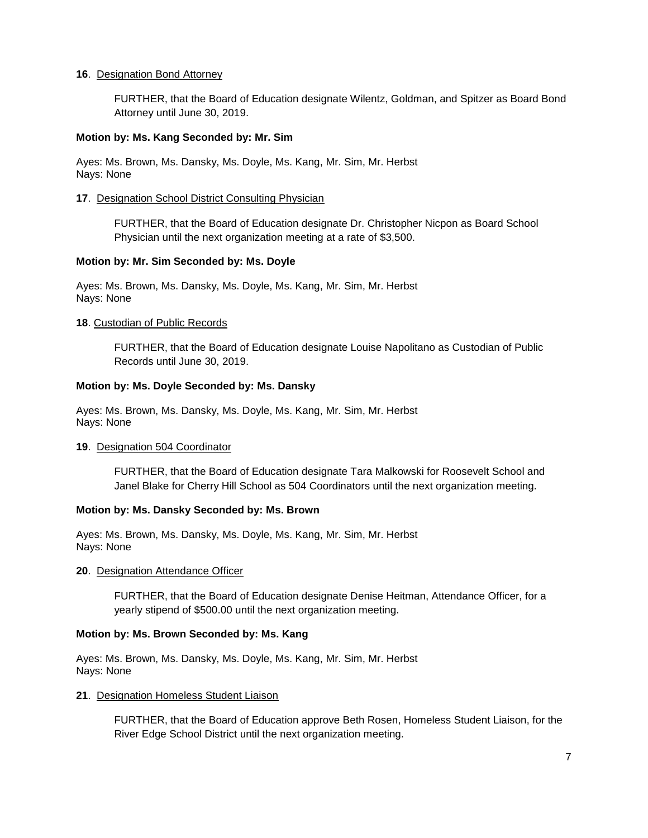### **16**. Designation Bond Attorney

FURTHER, that the Board of Education designate Wilentz, Goldman, and Spitzer as Board Bond Attorney until June 30, 2019.

#### **Motion by: Ms. Kang Seconded by: Mr. Sim**

Ayes: Ms. Brown, Ms. Dansky, Ms. Doyle, Ms. Kang, Mr. Sim, Mr. Herbst Nays: None

#### **17**. Designation School District Consulting Physician

FURTHER, that the Board of Education designate Dr. Christopher Nicpon as Board School Physician until the next organization meeting at a rate of \$3,500.

### **Motion by: Mr. Sim Seconded by: Ms. Doyle**

Ayes: Ms. Brown, Ms. Dansky, Ms. Doyle, Ms. Kang, Mr. Sim, Mr. Herbst Nays: None

#### **18**. Custodian of Public Records

FURTHER, that the Board of Education designate Louise Napolitano as Custodian of Public Records until June 30, 2019.

#### **Motion by: Ms. Doyle Seconded by: Ms. Dansky**

Ayes: Ms. Brown, Ms. Dansky, Ms. Doyle, Ms. Kang, Mr. Sim, Mr. Herbst Nays: None

#### **19**. Designation 504 Coordinator

FURTHER, that the Board of Education designate Tara Malkowski for Roosevelt School and Janel Blake for Cherry Hill School as 504 Coordinators until the next organization meeting.

### **Motion by: Ms. Dansky Seconded by: Ms. Brown**

Ayes: Ms. Brown, Ms. Dansky, Ms. Doyle, Ms. Kang, Mr. Sim, Mr. Herbst Nays: None

#### **20**. Designation Attendance Officer

FURTHER, that the Board of Education designate Denise Heitman, Attendance Officer, for a yearly stipend of \$500.00 until the next organization meeting.

#### **Motion by: Ms. Brown Seconded by: Ms. Kang**

Ayes: Ms. Brown, Ms. Dansky, Ms. Doyle, Ms. Kang, Mr. Sim, Mr. Herbst Nays: None

#### **21**. Designation Homeless Student Liaison

FURTHER, that the Board of Education approve Beth Rosen, Homeless Student Liaison, for the River Edge School District until the next organization meeting.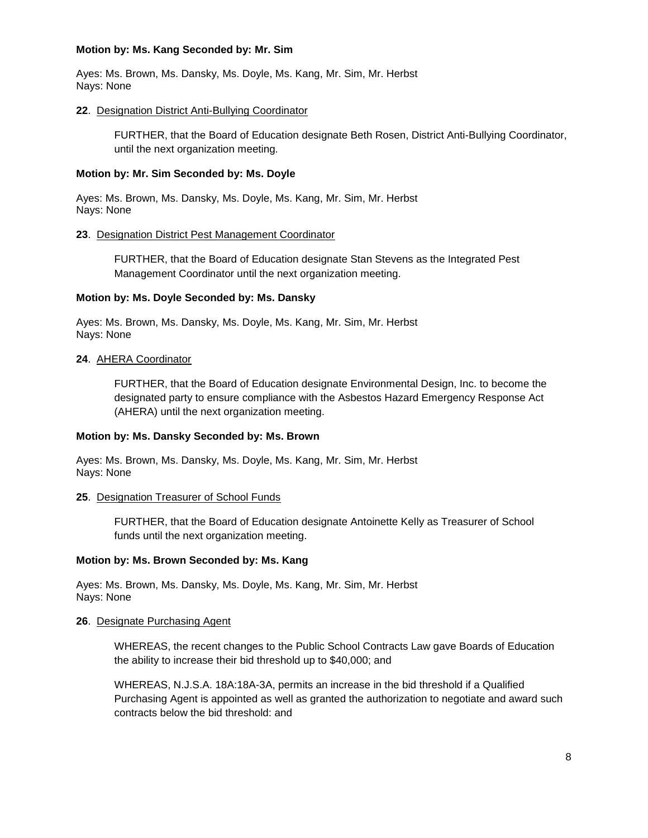### **Motion by: Ms. Kang Seconded by: Mr. Sim**

Ayes: Ms. Brown, Ms. Dansky, Ms. Doyle, Ms. Kang, Mr. Sim, Mr. Herbst Nays: None

### **22**. Designation District Anti-Bullying Coordinator

FURTHER, that the Board of Education designate Beth Rosen, District Anti-Bullying Coordinator, until the next organization meeting.

### **Motion by: Mr. Sim Seconded by: Ms. Doyle**

Ayes: Ms. Brown, Ms. Dansky, Ms. Doyle, Ms. Kang, Mr. Sim, Mr. Herbst Nays: None

### **23**. Designation District Pest Management Coordinator

FURTHER, that the Board of Education designate Stan Stevens as the Integrated Pest Management Coordinator until the next organization meeting.

### **Motion by: Ms. Doyle Seconded by: Ms. Dansky**

Ayes: Ms. Brown, Ms. Dansky, Ms. Doyle, Ms. Kang, Mr. Sim, Mr. Herbst Nays: None

### **24**. AHERA Coordinator

FURTHER, that the Board of Education designate Environmental Design, Inc. to become the designated party to ensure compliance with the Asbestos Hazard Emergency Response Act (AHERA) until the next organization meeting.

### **Motion by: Ms. Dansky Seconded by: Ms. Brown**

Ayes: Ms. Brown, Ms. Dansky, Ms. Doyle, Ms. Kang, Mr. Sim, Mr. Herbst Nays: None

### **25**. Designation Treasurer of School Funds

FURTHER, that the Board of Education designate Antoinette Kelly as Treasurer of School funds until the next organization meeting.

### **Motion by: Ms. Brown Seconded by: Ms. Kang**

Ayes: Ms. Brown, Ms. Dansky, Ms. Doyle, Ms. Kang, Mr. Sim, Mr. Herbst Nays: None

### **26**. Designate Purchasing Agent

WHEREAS, the recent changes to the Public School Contracts Law gave Boards of Education the ability to increase their bid threshold up to \$40,000; and

WHEREAS, N.J.S.A. 18A:18A-3A, permits an increase in the bid threshold if a Qualified Purchasing Agent is appointed as well as granted the authorization to negotiate and award such contracts below the bid threshold: and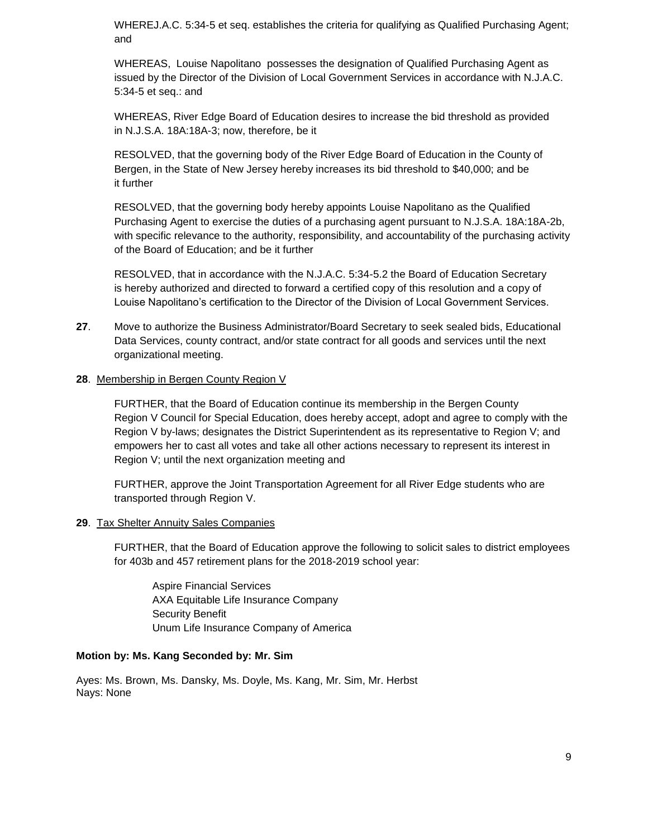WHEREJ.A.C. 5:34-5 et seq. establishes the criteria for qualifying as Qualified Purchasing Agent; and

WHEREAS, Louise Napolitano possesses the designation of Qualified Purchasing Agent as issued by the Director of the Division of Local Government Services in accordance with N.J.A.C. 5:34-5 et seq.: and

WHEREAS, River Edge Board of Education desires to increase the bid threshold as provided in N.J.S.A. 18A:18A-3; now, therefore, be it

RESOLVED, that the governing body of the River Edge Board of Education in the County of Bergen, in the State of New Jersey hereby increases its bid threshold to \$40,000; and be it further

RESOLVED, that the governing body hereby appoints Louise Napolitano as the Qualified Purchasing Agent to exercise the duties of a purchasing agent pursuant to N.J.S.A. 18A:18A-2b, with specific relevance to the authority, responsibility, and accountability of the purchasing activity of the Board of Education; and be it further

RESOLVED, that in accordance with the N.J.A.C. 5:34-5.2 the Board of Education Secretary is hereby authorized and directed to forward a certified copy of this resolution and a copy of Louise Napolitano's certification to the Director of the Division of Local Government Services.

**27**. Move to authorize the Business Administrator/Board Secretary to seek sealed bids, Educational Data Services, county contract, and/or state contract for all goods and services until the next organizational meeting.

### **28**. Membership in Bergen County Region V

FURTHER, that the Board of Education continue its membership in the Bergen County Region V Council for Special Education, does hereby accept, adopt and agree to comply with the Region V by-laws; designates the District Superintendent as its representative to Region V; and empowers her to cast all votes and take all other actions necessary to represent its interest in Region V; until the next organization meeting and

FURTHER, approve the Joint Transportation Agreement for all River Edge students who are transported through Region V.

### **29**. Tax Shelter Annuity Sales Companies

FURTHER, that the Board of Education approve the following to solicit sales to district employees for 403b and 457 retirement plans for the 2018-2019 school year:

Aspire Financial Services AXA Equitable Life Insurance Company Security Benefit Unum Life Insurance Company of America

### **Motion by: Ms. Kang Seconded by: Mr. Sim**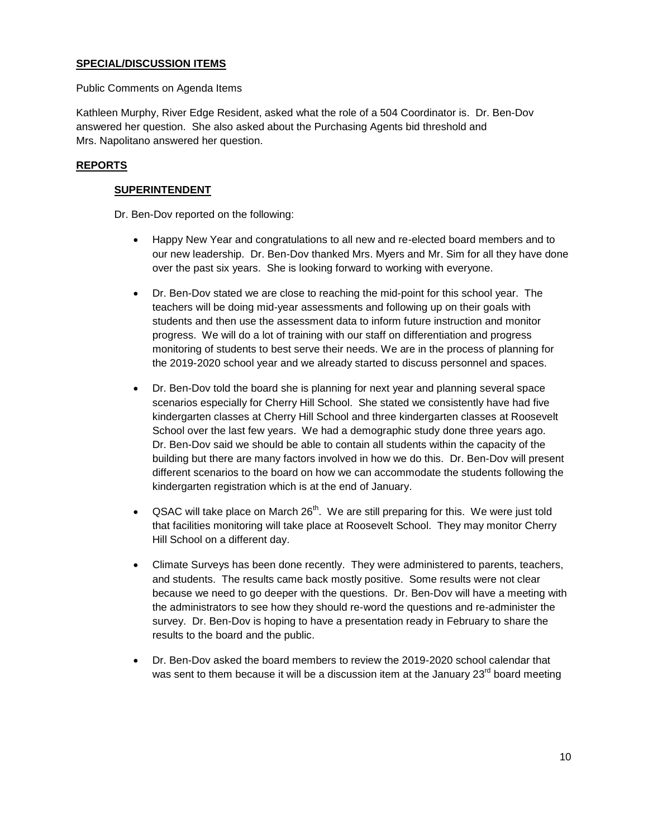# **SPECIAL/DISCUSSION ITEMS**

Public Comments on Agenda Items

Kathleen Murphy, River Edge Resident, asked what the role of a 504 Coordinator is. Dr. Ben-Dov answered her question. She also asked about the Purchasing Agents bid threshold and Mrs. Napolitano answered her question.

# **REPORTS**

## **SUPERINTENDENT**

Dr. Ben-Dov reported on the following:

- Happy New Year and congratulations to all new and re-elected board members and to our new leadership. Dr. Ben-Dov thanked Mrs. Myers and Mr. Sim for all they have done over the past six years. She is looking forward to working with everyone.
- Dr. Ben-Dov stated we are close to reaching the mid-point for this school year. The teachers will be doing mid-year assessments and following up on their goals with students and then use the assessment data to inform future instruction and monitor progress. We will do a lot of training with our staff on differentiation and progress monitoring of students to best serve their needs. We are in the process of planning for the 2019-2020 school year and we already started to discuss personnel and spaces.
- Dr. Ben-Dov told the board she is planning for next year and planning several space scenarios especially for Cherry Hill School. She stated we consistently have had five kindergarten classes at Cherry Hill School and three kindergarten classes at Roosevelt School over the last few years. We had a demographic study done three years ago. Dr. Ben-Dov said we should be able to contain all students within the capacity of the building but there are many factors involved in how we do this. Dr. Ben-Dov will present different scenarios to the board on how we can accommodate the students following the kindergarten registration which is at the end of January.
- QSAC will take place on March  $26<sup>th</sup>$ . We are still preparing for this. We were just told that facilities monitoring will take place at Roosevelt School. They may monitor Cherry Hill School on a different day.
- Climate Surveys has been done recently. They were administered to parents, teachers, and students. The results came back mostly positive. Some results were not clear because we need to go deeper with the questions. Dr. Ben-Dov will have a meeting with the administrators to see how they should re-word the questions and re-administer the survey. Dr. Ben-Dov is hoping to have a presentation ready in February to share the results to the board and the public.
- Dr. Ben-Dov asked the board members to review the 2019-2020 school calendar that was sent to them because it will be a discussion item at the January  $23<sup>rd</sup>$  board meeting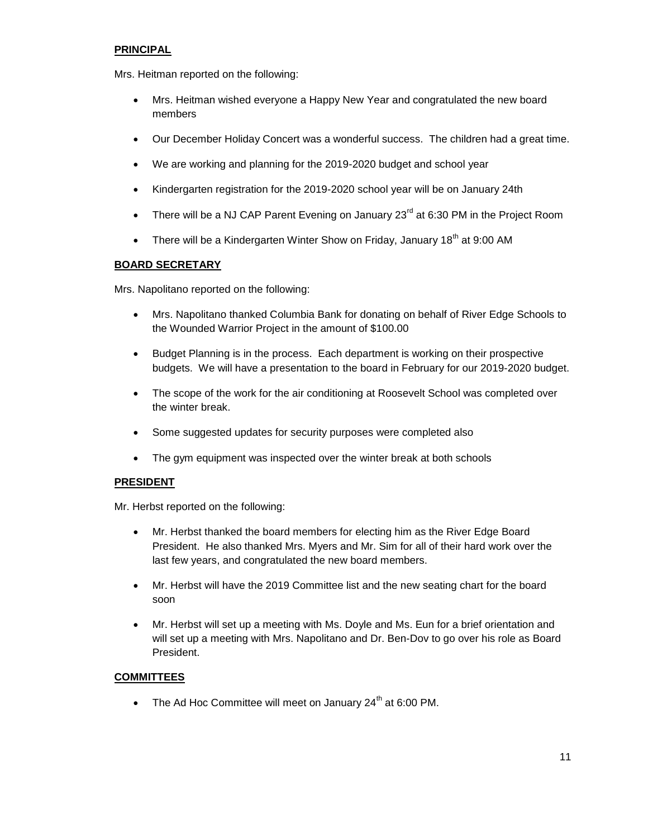# **PRINCIPAL**

Mrs. Heitman reported on the following:

- Mrs. Heitman wished everyone a Happy New Year and congratulated the new board members
- Our December Holiday Concert was a wonderful success. The children had a great time.
- We are working and planning for the 2019-2020 budget and school year
- Kindergarten registration for the 2019-2020 school year will be on January 24th
- There will be a NJ CAP Parent Evening on January  $23^{\text{rd}}$  at 6:30 PM in the Project Room
- There will be a Kindergarten Winter Show on Friday, January  $18<sup>th</sup>$  at 9:00 AM

# **BOARD SECRETARY**

Mrs. Napolitano reported on the following:

- Mrs. Napolitano thanked Columbia Bank for donating on behalf of River Edge Schools to the Wounded Warrior Project in the amount of \$100.00
- Budget Planning is in the process. Each department is working on their prospective budgets. We will have a presentation to the board in February for our 2019-2020 budget.
- The scope of the work for the air conditioning at Roosevelt School was completed over the winter break.
- Some suggested updates for security purposes were completed also
- The gym equipment was inspected over the winter break at both schools

# **PRESIDENT**

Mr. Herbst reported on the following:

- Mr. Herbst thanked the board members for electing him as the River Edge Board President. He also thanked Mrs. Myers and Mr. Sim for all of their hard work over the last few years, and congratulated the new board members.
- Mr. Herbst will have the 2019 Committee list and the new seating chart for the board soon
- Mr. Herbst will set up a meeting with Ms. Doyle and Ms. Eun for a brief orientation and will set up a meeting with Mrs. Napolitano and Dr. Ben-Dov to go over his role as Board President.

# **COMMITTEES**

• The Ad Hoc Committee will meet on January  $24<sup>th</sup>$  at 6:00 PM.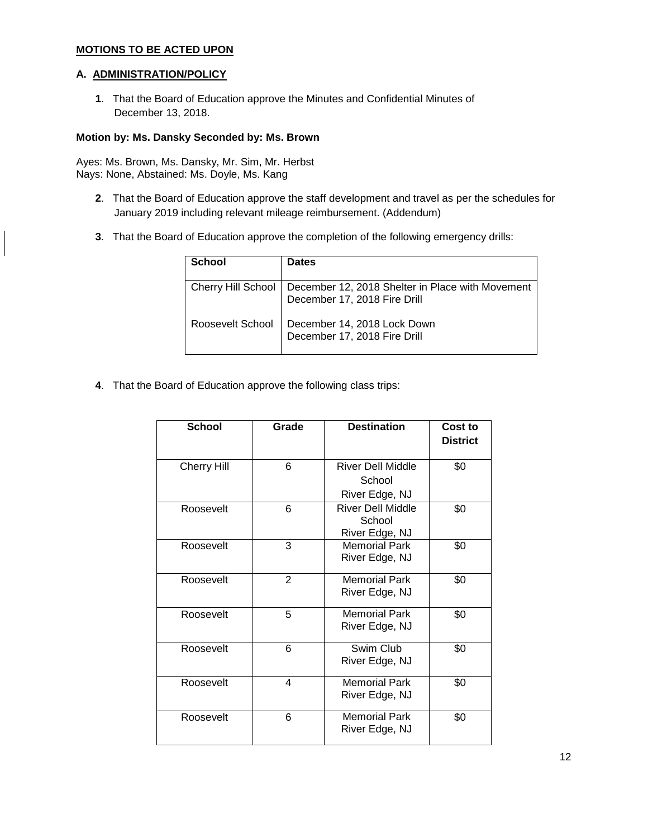# **MOTIONS TO BE ACTED UPON**

### **A. ADMINISTRATION/POLICY**

 $\overline{\phantom{a}}$ 

**1**. That the Board of Education approve the Minutes and Confidential Minutes of December 13, 2018.

#### **Motion by: Ms. Dansky Seconded by: Ms. Brown**

Ayes: Ms. Brown, Ms. Dansky, Mr. Sim, Mr. Herbst Nays: None, Abstained: Ms. Doyle, Ms. Kang

- **2**. That the Board of Education approve the staff development and travel as per the schedules for January 2019 including relevant mileage reimbursement. (Addendum)
- **3**. That the Board of Education approve the completion of the following emergency drills:

| <b>School</b>    | <b>Dates</b>                                                                                          |
|------------------|-------------------------------------------------------------------------------------------------------|
|                  | Cherry Hill School   December 12, 2018 Shelter in Place with Movement<br>December 17, 2018 Fire Drill |
| Roosevelt School | December 14, 2018 Lock Down<br>December 17, 2018 Fire Drill                                           |

**4**. That the Board of Education approve the following class trips:

| <b>School</b>      | Grade          | <b>Destination</b>                                   | Cost to<br><b>District</b> |
|--------------------|----------------|------------------------------------------------------|----------------------------|
| <b>Cherry Hill</b> | 6              | <b>River Dell Middle</b><br>School<br>River Edge, NJ | \$0                        |
| Roosevelt          | 6              | River Dell Middle<br>School<br>River Edge, NJ        | \$0                        |
| Roosevelt          | 3              | <b>Memorial Park</b><br>River Edge, NJ               | \$0                        |
| Roosevelt          | $\overline{2}$ | <b>Memorial Park</b><br>River Edge, NJ               | \$0                        |
| Roosevelt          | 5              | <b>Memorial Park</b><br>River Edge, NJ               | \$0                        |
| Roosevelt          | 6              | Swim Club<br>River Edge, NJ                          | \$0                        |
| Roosevelt          | 4              | <b>Memorial Park</b><br>River Edge, NJ               | \$0                        |
| Roosevelt          | 6              | <b>Memorial Park</b><br>River Edge, NJ               | \$0                        |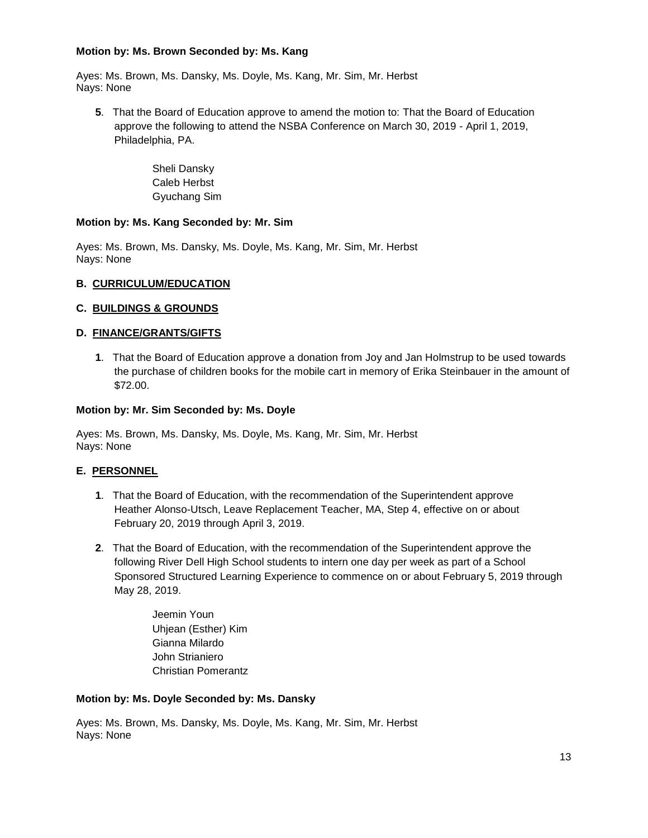### **Motion by: Ms. Brown Seconded by: Ms. Kang**

Ayes: Ms. Brown, Ms. Dansky, Ms. Doyle, Ms. Kang, Mr. Sim, Mr. Herbst Nays: None

**5**. That the Board of Education approve to amend the motion to: That the Board of Education approve the following to attend the NSBA Conference on March 30, 2019 - April 1, 2019, Philadelphia, PA.

> Sheli Dansky Caleb Herbst Gyuchang Sim

# **Motion by: Ms. Kang Seconded by: Mr. Sim**

Ayes: Ms. Brown, Ms. Dansky, Ms. Doyle, Ms. Kang, Mr. Sim, Mr. Herbst Nays: None

# **B. CURRICULUM/EDUCATION**

# **C. BUILDINGS & GROUNDS**

# **D. FINANCE/GRANTS/GIFTS**

**1**. That the Board of Education approve a donation from Joy and Jan Holmstrup to be used towards the purchase of children books for the mobile cart in memory of Erika Steinbauer in the amount of \$72.00.

### **Motion by: Mr. Sim Seconded by: Ms. Doyle**

Ayes: Ms. Brown, Ms. Dansky, Ms. Doyle, Ms. Kang, Mr. Sim, Mr. Herbst Nays: None

# **E. PERSONNEL**

- **1**. That the Board of Education, with the recommendation of the Superintendent approve Heather Alonso-Utsch, Leave Replacement Teacher, MA, Step 4, effective on or about February 20, 2019 through April 3, 2019.
- **2**. That the Board of Education, with the recommendation of the Superintendent approve the following River Dell High School students to intern one day per week as part of a School Sponsored Structured Learning Experience to commence on or about February 5, 2019 through May 28, 2019.

Jeemin Youn Uhjean (Esther) Kim Gianna Milardo John Strianiero Christian Pomerantz

### **Motion by: Ms. Doyle Seconded by: Ms. Dansky**